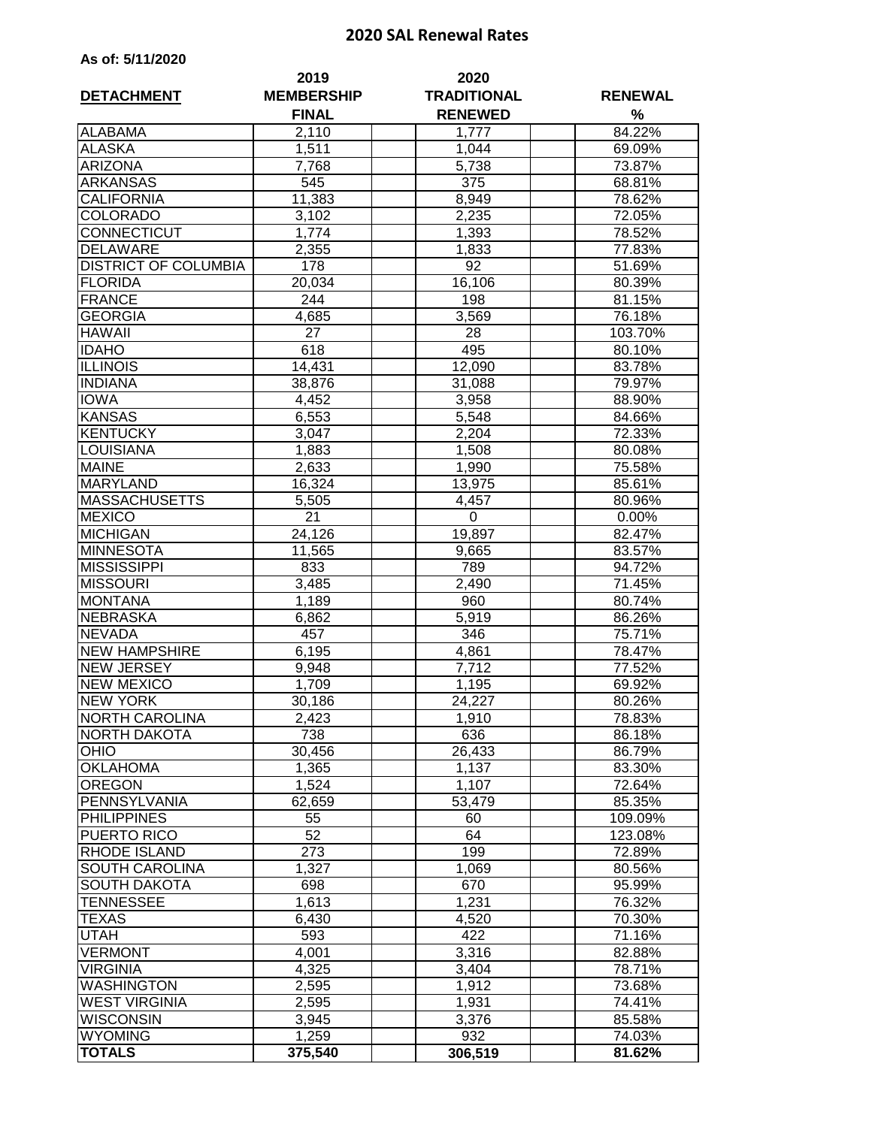## **2020 SAL Renewal Rates**

|  | As of: 5/11/2020 |  |
|--|------------------|--|
|  |                  |  |

| <b>DETACHMENT</b>           | 2019<br><b>MEMBERSHIP</b><br><b>FINAL</b> | 2020<br><b>TRADITIONAL</b><br><b>RENEWED</b> | <b>RENEWAL</b><br>% |  |
|-----------------------------|-------------------------------------------|----------------------------------------------|---------------------|--|
| <b>ALABAMA</b>              | 2,110                                     | 1,777                                        | 84.22%              |  |
| <b>ALASKA</b>               | 1,511                                     | 1,044                                        | 69.09%              |  |
| <b>ARIZONA</b>              | 7,768                                     | 5,738                                        | 73.87%              |  |
| <b>ARKANSAS</b>             | 545                                       | 375                                          | 68.81%              |  |
| <b>CALIFORNIA</b>           | 11,383                                    | 8,949                                        | 78.62%              |  |
| <b>COLORADO</b>             | 3,102                                     | 2,235                                        | 72.05%              |  |
| <b>CONNECTICUT</b>          | 1,774                                     | 1,393                                        | 78.52%              |  |
| <b>DELAWARE</b>             | 2,355                                     | 1,833                                        | 77.83%              |  |
| <b>DISTRICT OF COLUMBIA</b> | 178                                       | 92                                           | 51.69%              |  |
| <b>FLORIDA</b>              | 20,034                                    | 16,106                                       | 80.39%              |  |
| <b>FRANCE</b>               | 244                                       | 198                                          | 81.15%              |  |
| <b>GEORGIA</b>              | 4,685                                     | 3,569                                        | 76.18%              |  |
| <b>HAWAII</b>               | 27                                        | 28                                           | 103.70%             |  |
| <b>IDAHO</b>                | 618                                       | 495                                          | 80.10%              |  |
| <b>ILLINOIS</b>             | 14,431                                    | 12,090                                       | 83.78%              |  |
| <b>INDIANA</b>              | 38,876                                    | 31,088                                       | 79.97%              |  |
| <b>IOWA</b>                 | 4,452                                     | 3,958                                        | 88.90%              |  |
| <b>KANSAS</b>               | 6,553                                     | 5,548                                        | 84.66%              |  |
| <b>KENTUCKY</b>             | 3,047                                     | 2,204                                        | 72.33%              |  |
| <b>LOUISIANA</b>            |                                           |                                              |                     |  |
| <b>MAINE</b>                | 1,883                                     | 1,508                                        | 80.08%<br>75.58%    |  |
|                             | 2,633                                     | 1,990                                        |                     |  |
| <b>MARYLAND</b>             | 16,324                                    | 13,975                                       | 85.61%              |  |
| <b>MASSACHUSETTS</b>        | 5,505                                     | 4,457                                        | 80.96%              |  |
| <b>MEXICO</b>               | 21                                        | 0                                            | 0.00%               |  |
| <b>MICHIGAN</b>             | 24,126                                    | 19,897                                       | 82.47%              |  |
| <b>MINNESOTA</b>            | 11,565                                    | 9,665                                        | 83.57%              |  |
| <b>MISSISSIPPI</b>          | 833                                       | 789                                          | 94.72%              |  |
| <b>MISSOURI</b>             | 3,485                                     | 2,490                                        | 71.45%              |  |
| <b>MONTANA</b>              | 1,189                                     | 960                                          | 80.74%              |  |
| <b>NEBRASKA</b>             | 6,862                                     | 5,919                                        | 86.26%              |  |
| <b>NEVADA</b>               | 457                                       | 346                                          | 75.71%              |  |
| <b>NEW HAMPSHIRE</b>        | 6,195                                     | 4,861                                        | 78.47%              |  |
| <b>NEW JERSEY</b>           | 9,948                                     | 7,712                                        | 77.52%              |  |
| <b>NEW MEXICO</b>           | 1,709                                     | 1,195                                        | 69.92%              |  |
| <b>NEW YORK</b>             | 30,186                                    | 24,227                                       | 80.26%              |  |
| <b>NORTH CAROLINA</b>       | 2,423                                     | 1,910                                        | 78.83%              |  |
| <b>NORTH DAKOTA</b>         | 738                                       | 636                                          | 86.18%              |  |
| <b>OHIO</b>                 | 30,456                                    | 26,433                                       | 86.79%              |  |
| <b>OKLAHOMA</b>             | 1,365                                     | 1,137                                        | 83.30%              |  |
| <b>OREGON</b>               | 1,524                                     | 1,107                                        | 72.64%              |  |
| PENNSYLVANIA                | 62,659                                    | 53,479                                       | 85.35%              |  |
| <b>PHILIPPINES</b>          | 55                                        | 60                                           | 109.09%             |  |
| PUERTO RICO                 | 52                                        | 64                                           | 123.08%             |  |
| <b>RHODE ISLAND</b>         | 273                                       | 199                                          | 72.89%              |  |
| <b>SOUTH CAROLINA</b>       | 1,327                                     | 1,069                                        | 80.56%              |  |
| <b>SOUTH DAKOTA</b>         | 698                                       | 670                                          | 95.99%              |  |
| <b>TENNESSEE</b>            | 1,613                                     | 1,231                                        | 76.32%              |  |
| <b>TEXAS</b>                | 6,430                                     | 4,520                                        | 70.30%              |  |
| <b>UTAH</b>                 | 593                                       | 422                                          | 71.16%              |  |
| <b>VERMONT</b>              | 4,001                                     | 3,316                                        | 82.88%              |  |
| <b>VIRGINIA</b>             | 4,325                                     | 3,404                                        | 78.71%              |  |
| <b>WASHINGTON</b>           | 2,595                                     | 1,912                                        | 73.68%              |  |
| <b>WEST VIRGINIA</b>        | 2,595                                     | 1,931                                        | 74.41%              |  |
| <b>WISCONSIN</b>            | 3,945                                     | 3,376                                        | 85.58%              |  |
| <b>WYOMING</b>              | 1,259                                     | 932                                          | 74.03%              |  |
| <b>TOTALS</b>               | 375,540                                   | 306,519                                      | 81.62%              |  |